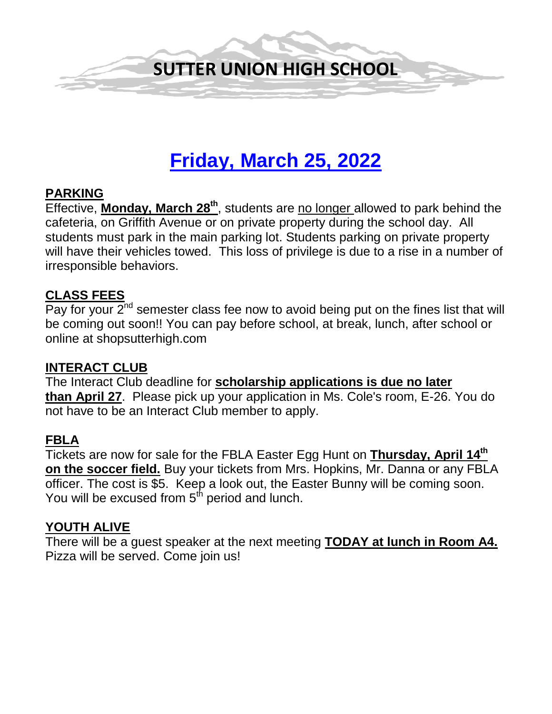

# **Friday, March 25, 2022**

### **PARKING**

Effective, **Monday, March 28th**, students are no longer allowed to park behind the cafeteria, on Griffith Avenue or on private property during the school day. All students must park in the main parking lot. Students parking on private property will have their vehicles towed. This loss of privilege is due to a rise in a number of irresponsible behaviors.

### **CLASS FEES**

 $\overline{Pav}$  for your  $2^{nd}$  semester class fee now to avoid being put on the fines list that will be coming out soon!! You can pay before school, at break, lunch, after school or online at shopsutterhigh.com

### **INTERACT CLUB**

The Interact Club deadline for **scholarship applications is due no later than April 27**. Please pick up your application in Ms. Cole's room, E-26. You do not have to be an Interact Club member to apply.

# **FBLA**

Tickets are now for sale for the FBLA Easter Egg Hunt on **Thursday, April 14th on the soccer field.** Buy your tickets from Mrs. Hopkins, Mr. Danna or any FBLA officer. The cost is \$5. Keep a look out, the Easter Bunny will be coming soon. You will be excused from 5<sup>th</sup> period and lunch.

# **YOUTH ALIVE**

There will be a guest speaker at the next meeting **TODAY at lunch in Room A4.** Pizza will be served. Come join us!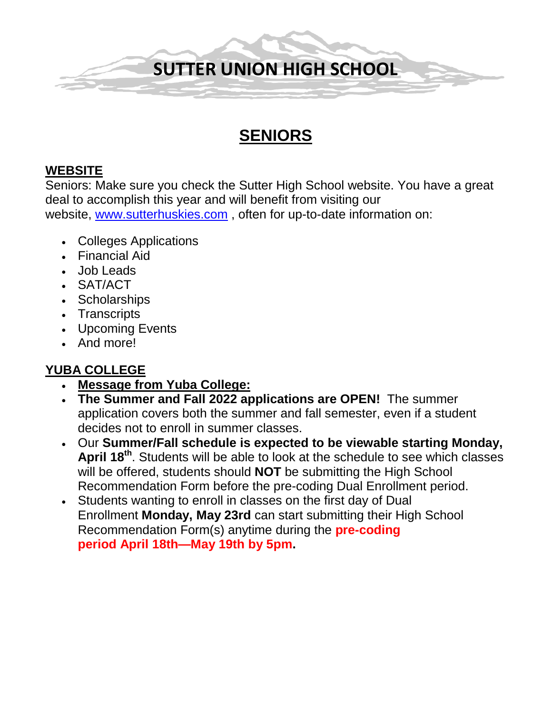

# **SENIORS**

# **WEBSITE**

Seniors: Make sure you check the Sutter High School website. You have a great deal to accomplish this year and will benefit from visiting our website, [www.sutterhuskies.com](http://www.sutterhuskies.com/) , often for up-to-date information on:

- Colleges Applications
- Financial Aid
- Job Leads
- SAT/ACT
- Scholarships
- Transcripts
- Upcoming Events
- And more!

# **YUBA COLLEGE**

- **Message from Yuba College:**
- **The Summer and Fall 2022 applications are OPEN!** The summer application covers both the summer and fall semester, even if a student decides not to enroll in summer classes.
- Our **Summer/Fall schedule is expected to be viewable starting Monday, April 18th**. Students will be able to look at the schedule to see which classes will be offered, students should **NOT** be submitting the High School Recommendation Form before the pre-coding Dual Enrollment period.
- Students wanting to enroll in classes on the first day of Dual Enrollment **Monday, May 23rd** can start submitting their High School Recommendation Form(s) anytime during the **pre-coding period April 18th—May 19th by 5pm.**